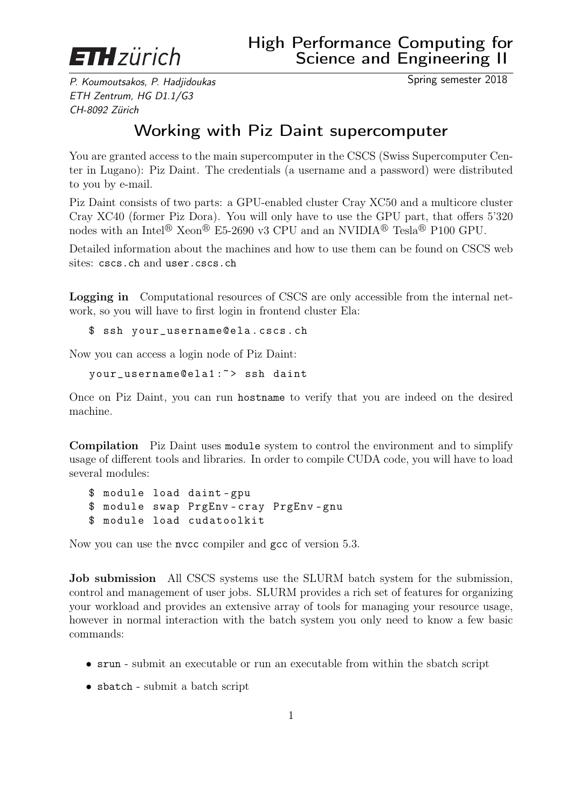

P. Koumoutsakos, P. Hadjidoukas ETH Zentrum, HG D1.1/G3 CH-8092 Zürich

## Working with Piz Daint supercomputer

You are granted access to the main supercomputer in the CSCS (Swiss Supercomputer Center in Lugano): Piz Daint. The credentials (a username and a password) were distributed to you by e-mail.

Piz Daint consists of two parts: a GPU-enabled cluster Cray XC50 and a multicore cluster Cray XC40 (former Piz Dora). You will only have to use the GPU part, that offers 5'320 nodes with an Intel<sup>®</sup> Xeon<sup>®</sup> E5-2690 v3 CPU and an NVIDIA<sup>®</sup> Tesla<sup>®</sup> P100 GPU.

Detailed information about the machines and how to use them can be found on CSCS web sites: cscs.ch and user.cscs.ch

Logging in Computational resources of CSCS are only accessible from the internal network, so you will have to first login in frontend cluster Ela:

\$ ssh your\_username@ela . cscs . ch

Now you can access a login node of Piz Daint:

your\_username@ela1 :~ > ssh daint

Once on Piz Daint, you can run hostname to verify that you are indeed on the desired machine.

Compilation Piz Daint uses module system to control the environment and to simplify usage of different tools and libraries. In order to compile CUDA code, you will have to load several modules:

\$ module load daint - gpu \$ module swap PrgEnv - cray PrgEnv - gnu \$ module load cudatoolkit

Now you can use the nvcc compiler and gcc of version 5.3.

Job submission All CSCS systems use the SLURM batch system for the submission, control and management of user jobs. SLURM provides a rich set of features for organizing your workload and provides an extensive array of tools for managing your resource usage, however in normal interaction with the batch system you only need to know a few basic commands:

- srun submit an executable or run an executable from within the sbatch script
- sbatch submit a batch script